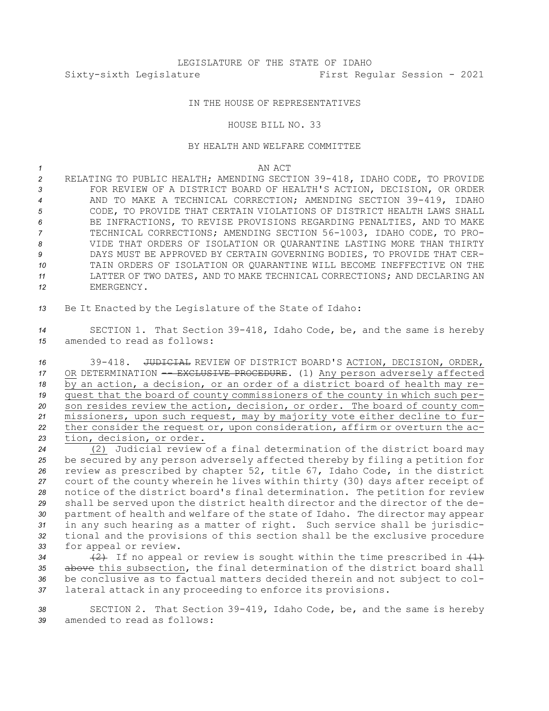## IN THE HOUSE OF REPRESENTATIVES

## HOUSE BILL NO. 33

## BY HEALTH AND WELFARE COMMITTEE

*1* AN ACT

 RELATING TO PUBLIC HEALTH; AMENDING SECTION 39-418, IDAHO CODE, TO PROVIDE FOR REVIEW OF A DISTRICT BOARD OF HEALTH'S ACTION, DECISION, OR ORDER AND TO MAKE A TECHNICAL CORRECTION; AMENDING SECTION 39-419, IDAHO CODE, TO PROVIDE THAT CERTAIN VIOLATIONS OF DISTRICT HEALTH LAWS SHALL BE INFRACTIONS, TO REVISE PROVISIONS REGARDING PENALTIES, AND TO MAKE TECHNICAL CORRECTIONS; AMENDING SECTION 56-1003, IDAHO CODE, TO PRO- VIDE THAT ORDERS OF ISOLATION OR QUARANTINE LASTING MORE THAN THIRTY DAYS MUST BE APPROVED BY CERTAIN GOVERNING BODIES, TO PROVIDE THAT CER- TAIN ORDERS OF ISOLATION OR QUARANTINE WILL BECOME INEFFECTIVE ON THE LATTER OF TWO DATES, AND TO MAKE TECHNICAL CORRECTIONS; AND DECLARING AN EMERGENCY.

*<sup>13</sup>* Be It Enacted by the Legislature of the State of Idaho:

*<sup>14</sup>* SECTION 1. That Section 39-418, Idaho Code, be, and the same is hereby *15* amended to read as follows:

 39-418. JUDICIAL REVIEW OF DISTRICT BOARD'S ACTION, DECISION, ORDER, 17 OR DETERMINATION -- EXCLUSIVE PROCEDURE. (1) Any person adversely affected by an action, <sup>a</sup> decision, or an order of <sup>a</sup> district board of health may re- quest that the board of county commissioners of the county in which such per- son resides review the action, decision, or order. The board of county com- missioners, upon such request, may by majority vote either decline to fur- ther consider the request or, upon consideration, affirm or overturn the ac-tion, decision, or order.

 (2) Judicial review of <sup>a</sup> final determination of the district board may be secured by any person adversely affected thereby by filing <sup>a</sup> petition for review as prescribed by chapter 52, title 67, Idaho Code, in the district court of the county wherein he lives within thirty (30) days after receipt of notice of the district board's final determination. The petition for review shall be served upon the district health director and the director of the de- partment of health and welfare of the state of Idaho. The director may appear in any such hearing as <sup>a</sup> matter of right. Such service shall be jurisdic- tional and the provisions of this section shall be the exclusive procedure for appeal or review.

34 (2) If no appeal or review is sought within the time prescribed in  $\{1\}$  above this subsection, the final determination of the district board shall be conclusive as to factual matters decided therein and not subject to col-lateral attack in any proceeding to enforce its provisions.

*<sup>38</sup>* SECTION 2. That Section 39-419, Idaho Code, be, and the same is hereby *39* amended to read as follows: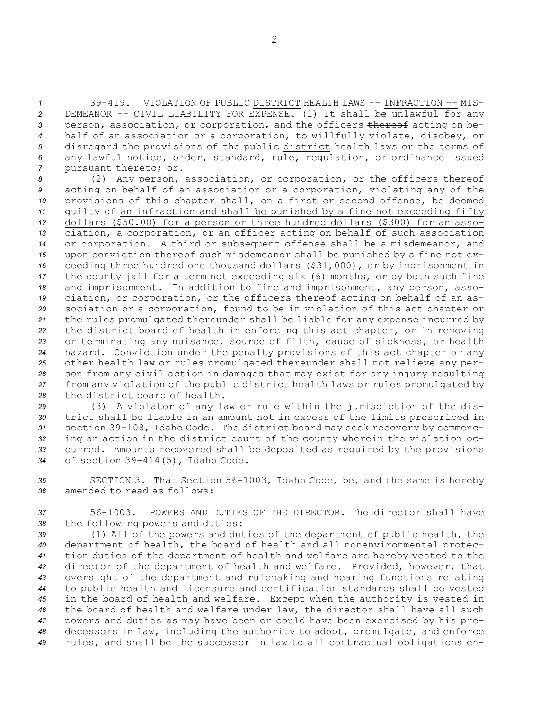39-419. VIOLATION OF PUBLIC DISTRICT HEALTH LAWS -- INFRACTION -- MIS- DEMEANOR -- CIVIL LIABILITY FOR EXPENSE. (1) It shall be unlawful for any person, association, or corporation, and the officers thereof acting on be- half of an association or <sup>a</sup> corporation, to willfully violate, disobey, or 5 disregard the provisions of the public district health laws or the terms of any lawful notice, order, standard, rule, regulation, or ordinance issued 7 pursuant thereto<del>; or</del>.

8 (2) Any person, association, or corporation, or the officers thereof acting on behalf of an association or <sup>a</sup> corporation, violating any of the provisions of this chapter shall, on <sup>a</sup> first or second offense, be deemed guilty of an infraction and shall be punished by <sup>a</sup> fine not exceeding fifty dollars (\$50.00) for <sup>a</sup> person or three hundred dollars (\$300) for an asso- ciation, <sup>a</sup> corporation, or an officer acting on behalf of such association or corporation. <sup>A</sup> third or subsequent offense shall be <sup>a</sup> misdemeanor, and 15 upon conviction thereof such misdemeanor shall be punished by a fine not ex-16 ceeding three hundred one thousand dollars (\$31,000), or by imprisonment in the county jail for <sup>a</sup> term not exceeding six (6) months, or by both such fine and imprisonment. In addition to fine and imprisonment, any person, asso-19 ciation, or corporation, or the officers thereof acting on behalf of an as-20 sociation or a corporation, found to be in violation of this aet chapter or the rules promulgated thereunder shall be liable for any expense incurred by the district board of health in enforcing this act chapter, or in removing or terminating any nuisance, source of filth, cause of sickness, or health hazard. Conviction under the penalty provisions of this act chapter or any other health law or rules promulgated thereunder shall not relieve any per- son from any civil action in damages that may exist for any injury resulting 27 from any violation of the public district health laws or rules promulgated by the district board of health.

 (3) <sup>A</sup> violator of any law or rule within the jurisdiction of the dis- trict shall be liable in an amount not in excess of the limits prescribed in section 39-108, Idaho Code. The district board may seek recovery by commenc- ing an action in the district court of the county wherein the violation oc- curred. Amounts recovered shall be deposited as required by the provisions of section 39-414(5), Idaho Code.

*<sup>35</sup>* SECTION 3. That Section 56-1003, Idaho Code, be, and the same is hereby *36* amended to read as follows:

*37* 56-1003. POWERS AND DUTIES OF THE DIRECTOR. The director shall have *<sup>38</sup>* the following powers and duties:

 (1) All of the powers and duties of the department of public health, the department of health, the board of health and all nonenvironmental protec- tion duties of the department of health and welfare are hereby vested to the director of the department of health and welfare. Provided, however, that oversight of the department and rulemaking and hearing functions relating to public health and licensure and certification standards shall be vested in the board of health and welfare. Except when the authority is vested in the board of health and welfare under law, the director shall have all such powers and duties as may have been or could have been exercised by his pre- decessors in law, including the authority to adopt, promulgate, and enforce rules, and shall be the successor in law to all contractual obligations en-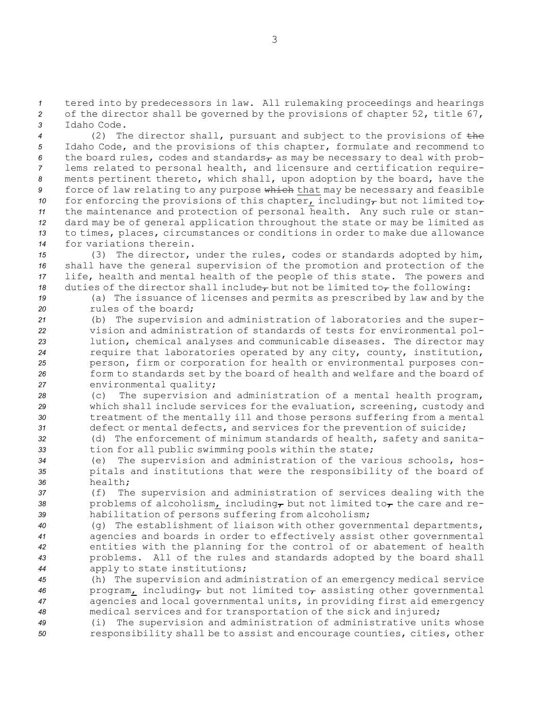*<sup>1</sup>* tered into by predecessors in law. All rulemaking proceedings and hearings *<sup>2</sup>* of the director shall be governed by the provisions of chapter 52, title 67, *3* Idaho Code.

 (2) The director shall, pursuant and subject to the provisions of the Idaho Code, and the provisions of this chapter, formulate and recommend to 6 the board rules, codes and standards<sub>r</sub> as may be necessary to deal with prob- lems related to personal health, and licensure and certification require- ments pertinent thereto, which shall, upon adoption by the board, have the force of law relating to any purpose which that may be necessary and feasible for enforcing the provisions of this chapter, including<sub>r</sub> but not limited to<sub>r</sub> the maintenance and protection of personal health. Any such rule or stan- dard may be of general application throughout the state or may be limited as to times, places, circumstances or conditions in order to make due allowance for variations therein.

 (3) The director, under the rules, codes or standards adopted by him, shall have the general supervision of the promotion and protection of the life, health and mental health of the people of this state. The powers and duties of the director shall include<sub>r</sub> but not be limited to<sub>r</sub> the following:

*<sup>19</sup>* (a) The issuance of licenses and permits as prescribed by law and by the *20* rules of the board;

- *<sup>21</sup>* (b) The supervision and administration of laboratories and the super-*<sup>22</sup>* vision and administration of standards of tests for environmental pol-*<sup>23</sup>* lution, chemical analyses and communicable diseases. The director may *<sup>24</sup>* require that laboratories operated by any city, county, institution, *<sup>25</sup>* person, firm or corporation for health or environmental purposes con-*<sup>26</sup>* form to standards set by the board of health and welfare and the board of *<sup>27</sup>* environmental quality;
- *<sup>28</sup>* (c) The supervision and administration of <sup>a</sup> mental health program, *<sup>29</sup>* which shall include services for the evaluation, screening, custody and *<sup>30</sup>* treatment of the mentally ill and those persons suffering from <sup>a</sup> mental *<sup>31</sup>* defect or mental defects, and services for the prevention of suicide;
- *<sup>32</sup>* (d) The enforcement of minimum standards of health, safety and sanita-*<sup>33</sup>* tion for all public swimming pools within the state;
- *<sup>34</sup>* (e) The supervision and administration of the various schools, hos-*<sup>35</sup>* pitals and institutions that were the responsibility of the board of *36* health;
- *<sup>37</sup>* (f) The supervision and administration of services dealing with the 38 problems of alcoholism, including<sub> $\tau$ </sub> but not limited to $\tau$  the care and re-*<sup>39</sup>* habilitation of persons suffering from alcoholism;
- *<sup>40</sup>* (g) The establishment of liaison with other governmental departments, *<sup>41</sup>* agencies and boards in order to effectively assist other governmental *<sup>42</sup>* entities with the planning for the control of or abatement of health *<sup>43</sup>* problems. All of the rules and standards adopted by the board shall *<sup>44</sup>* apply to state institutions;
- *<sup>45</sup>* (h) The supervision and administration of an emergency medical service 46 program, including, but not limited to, assisting other governmental *<sup>47</sup>* agencies and local governmental units, in providing first aid emergency *<sup>48</sup>* medical services and for transportation of the sick and injured;
- *<sup>49</sup>* (i) The supervision and administration of administrative units whose *<sup>50</sup>* responsibility shall be to assist and encourage counties, cities, other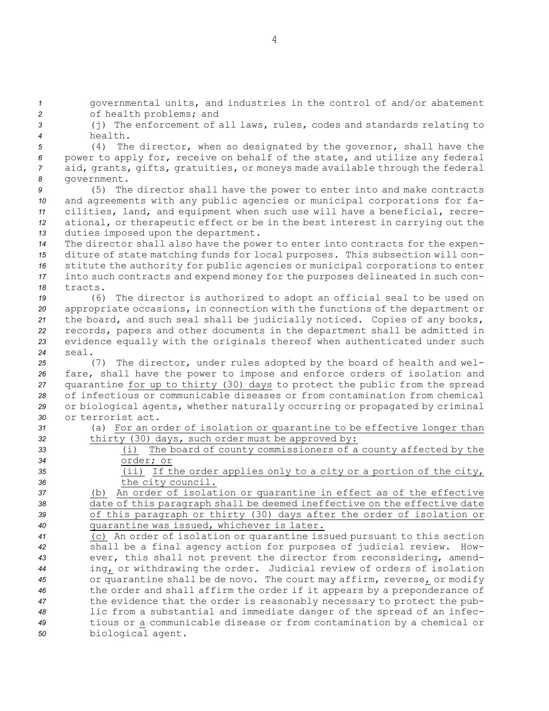governmental units, and industries in the control of and/or abatement of health problems; and (j) The enforcement of all laws, rules, codes and standards relating to *4* health. (4) The director, when so designated by the governor, shall have the power to apply for, receive on behalf of the state, and utilize any federal aid, grants, gifts, gratuities, or moneys made available through the federal government. (5) The director shall have the power to enter into and make contracts and agreements with any public agencies or municipal corporations for fa- cilities, land, and equipment when such use will have <sup>a</sup> beneficial, recre- ational, or therapeutic effect or be in the best interest in carrying out the duties imposed upon the department. The director shall also have the power to enter into contracts for the expen- diture of state matching funds for local purposes. This subsection will con- stitute the authority for public agencies or municipal corporations to enter into such contracts and expend money for the purposes delineated in such con-*18* tracts. (6) The director is authorized to adopt an official seal to be used on appropriate occasions, in connection with the functions of the department or the board, and such seal shall be judicially noticed. Copies of any books, records, papers and other documents in the department shall be admitted in evidence equally with the originals thereof when authenticated under such *24* seal. (7) The director, under rules adopted by the board of health and wel- fare, shall have the power to impose and enforce orders of isolation and quarantine for up to thirty (30) days to protect the public from the spread of infectious or communicable diseases or from contamination from chemical or biological agents, whether naturally occurring or propagated by criminal or terrorist act. (a) For an order of isolation or quarantine to be effective longer than 32 thirty (30) days, such order must be approved by: (i) The board of county commissioners of <sup>a</sup> county affected by the order; or (ii) If the order applies only to <sup>a</sup> city or <sup>a</sup> portion of the city, the city council. (b) An order of isolation or quarantine in effect as of the effective date of this paragraph shall be deemed ineffective on the effective date of this paragraph or thirty (30) days after the order of isolation or quarantine was issued, whichever is later. (c) An order of isolation or quarantine issued pursuant to this section shall be <sup>a</sup> final agency action for purposes of judicial review. How- ever, this shall not prevent the director from reconsidering, amend- ing, or withdrawing the order. Judicial review of orders of isolation or quarantine shall be de novo. The court may affirm, reverse, or modify the order and shall affirm the order if it appears by <sup>a</sup> preponderance of the evidence that the order is reasonably necessary to protect the pub- lic from <sup>a</sup> substantial and immediate danger of the spread of an infec- tious or <sup>a</sup> communicable disease or from contamination by <sup>a</sup> chemical or biological agent.

4